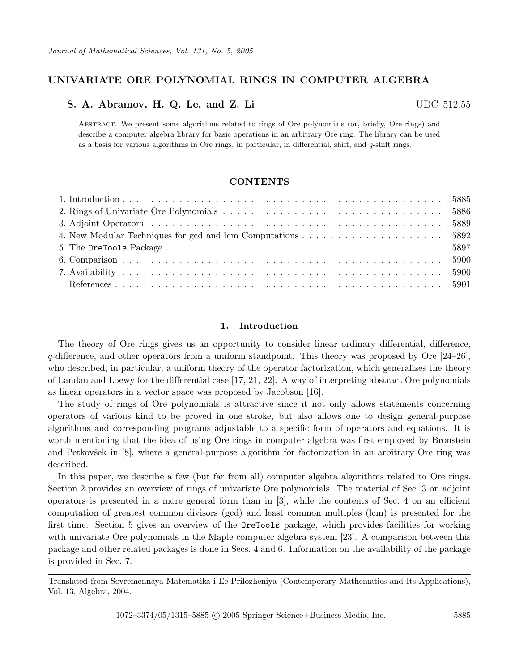# **UNIVARIATE ORE POLYNOMIAL RINGS IN COMPUTER ALGEBRA**

## **S. A. Abramov, H. Q. Le, and Z. Li** UDC 512.55

Abstract. We present some algorithms related to rings of Ore polynomials (or, briefly, Ore rings) and describe a computer algebra library for basic operations in an arbitrary Ore ring. The library can be used as a basis for various algorithms in Ore rings, in particular, in differential, shift, and *q*-shift rings.

## **CONTENTS**

## **1. Introduction**

The theory of Ore rings gives us an opportunity to consider linear ordinary differential, difference,  $q$ -difference, and other operators from a uniform standpoint. This theory was proposed by Ore [24–26], who described, in particular, a uniform theory of the operator factorization, which generalizes the theory of Landau and Loewy for the differential case [17, 21, 22]. A way of interpreting abstract Ore polynomials as linear operators in a vector space was proposed by Jacobson [16].

The study of rings of Ore polynomials is attractive since it not only allows statements concerning operators of various kind to be proved in one stroke, but also allows one to design general-purpose algorithms and corresponding programs adjustable to a specific form of operators and equations. It is worth mentioning that the idea of using Ore rings in computer algebra was first employed by Bronstein and Petkovšek in [8], where a general-purpose algorithm for factorization in an arbitrary Ore ring was described.

In this paper, we describe a few (but far from all) computer algebra algorithms related to Ore rings. Section 2 provides an overview of rings of univariate Ore polynomials. The material of Sec. 3 on adjoint operators is presented in a more general form than in [3], while the contents of Sec. 4 on an efficient computation of greatest common divisors (gcd) and least common multiples (lcm) is presented for the first time. Section 5 gives an overview of the OreTools package, which provides facilities for working with univariate Ore polynomials in the Maple computer algebra system [23]. A comparison between this package and other related packages is done in Secs. 4 and 6. Information on the availability of the package is provided in Sec. 7.

Translated from Sovremennaya Matematika i Ee Prilozheniya (Contemporary Mathematics and Its Applications), Vol. 13, Algebra, 2004.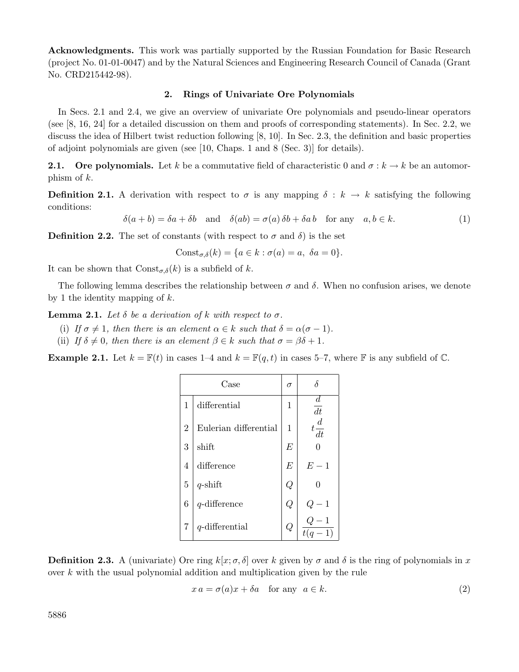**Acknowledgments.** This work was partially supported by the Russian Foundation for Basic Research (project No. 01-01-0047) and by the Natural Sciences and Engineering Research Council of Canada (Grant No. CRD215442-98).

## **2. Rings of Univariate Ore Polynomials**

In Secs. 2.1 and 2.4, we give an overview of univariate Ore polynomials and pseudo-linear operators (see [8, 16, 24] for a detailed discussion on them and proofs of corresponding statements). In Sec. 2.2, we discuss the idea of Hilbert twist reduction following [8, 10]. In Sec. 2.3, the definition and basic properties of adjoint polynomials are given (see [10, Chaps. 1 and 8 (Sec. 3)] for details).

**2.1.** Ore polynomials. Let k be a commutative field of characteristic 0 and  $\sigma : k \to k$  be an automorphism of  $k$ .

**Definition 2.1.** A derivation with respect to  $\sigma$  is any mapping  $\delta : k \to k$  satisfying the following conditions:

 $\delta(a + b) = \delta a + \delta b$  and  $\delta(ab) = \sigma(a)\,\delta b + \delta a\,b$  for any  $a, b \in k$ . (1)

**Definition 2.2.** The set of constants (with respect to  $\sigma$  and  $\delta$ ) is the set

$$
Const_{\sigma,\delta}(k) = \{a \in k : \sigma(a) = a, \ \delta a = 0\}.
$$

It can be shown that  $Const_{\sigma,\delta}(k)$  is a subfield of k.

The following lemma describes the relationship between  $\sigma$  and  $\delta$ . When no confusion arises, we denote by 1 the identity mapping of  $k$ .

**Lemma 2.1.** *Let*  $\delta$  *be a derivation of*  $k$  *with respect to*  $\sigma$ *.* 

- (i) *If*  $\sigma \neq 1$ *, then there is an element*  $\alpha \in k$  *such that*  $\delta = \alpha(\sigma 1)$ *.*
- (ii) *If*  $\delta \neq 0$ *, then there is an element*  $\beta \in k$  *such that*  $\sigma = \beta \delta + 1$ *.*

**Example 2.1.** Let  $k = \mathbb{F}(t)$  in cases 1–4 and  $k = \mathbb{F}(q, t)$  in cases 5–7, where F is any subfield of  $\mathbb{C}$ .

| Case             |                       |                  |                        |
|------------------|-----------------------|------------------|------------------------|
| 1                | differential          | 1                | $\boldsymbol{d}$<br>dt |
| $\overline{2}$   | Eulerian differential | 1                | $t\frac{d}{dt}$        |
| 3                | shift                 | E                |                        |
| 4                | difference            | $\boldsymbol{E}$ | $E-1$                  |
| 5                | $q$ -shift            | Q                | 0                      |
| $\boldsymbol{6}$ | $q$ -difference       | $\overline{Q}$   | 1                      |
| 7                | $q$ -differential     | $\overline{Q}$   | $\overline{1}$         |

**Definition 2.3.** A (univariate) Ore ring  $k[x; \sigma, \delta]$  over k given by  $\sigma$  and  $\delta$  is the ring of polynomials in x over k with the usual polynomial addition and multiplication given by the rule

$$
x a = \sigma(a)x + \delta a \quad \text{for any} \quad a \in k. \tag{2}
$$

5886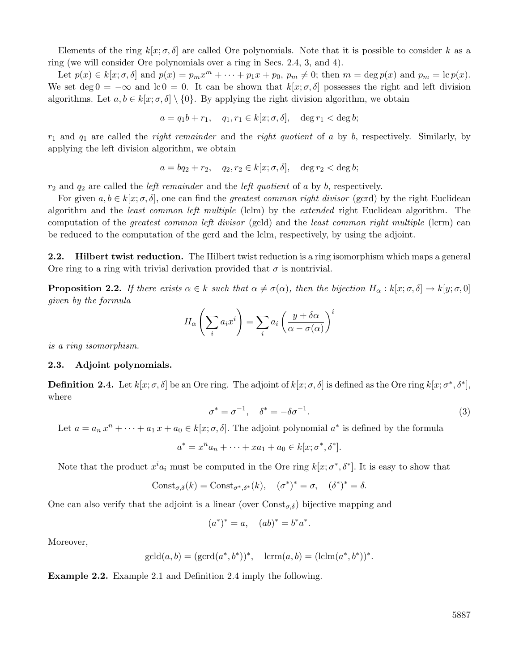Elements of the ring  $k[x; \sigma, \delta]$  are called Ore polynomials. Note that it is possible to consider k as a ring (we will consider Ore polynomials over a ring in Secs. 2.4, 3, and 4).

Let  $p(x) \in k[x; \sigma, \delta]$  and  $p(x) = p_m x^m + \cdots + p_1 x + p_0$ ,  $p_m \neq 0$ ; then  $m = \deg p(x)$  and  $p_m = \deg p(x)$ . We set deg  $0 = -\infty$  and lc  $0 = 0$ . It can be shown that  $k[x; \sigma, \delta]$  possesses the right and left division algorithms. Let  $a, b \in k[x; \sigma, \delta] \setminus \{0\}$ . By applying the right division algorithm, we obtain

$$
a = q_1 b + r_1, \quad q_1, r_1 \in k[x; \sigma, \delta], \quad \deg r_1 < \deg b;
$$

 $r_1$  and  $q_1$  are called the *right remainder* and the *right quotient* of a by b, respectively. Similarly, by applying the left division algorithm, we obtain

$$
a = bq_2 + r_2, \quad q_2, r_2 \in k[x; \sigma, \delta], \quad \deg r_2 < \deg b;
$$

r<sup>2</sup> and q<sup>2</sup> are called the *left remainder* and the *left quotient* of a by b, respectively.

For given  $a, b \in k[x; \sigma, \delta]$ , one can find the *greatest common right divisor* (gcrd) by the right Euclidean algorithm and the *least common left multiple* (lclm) by the *extended* right Euclidean algorithm. The computation of the *greatest common left divisor* (gcld) and the *least common right multiple* (lcrm) can be reduced to the computation of the gcrd and the lclm, respectively, by using the adjoint.

**2.2. Hilbert twist reduction.** The Hilbert twist reduction is a ring isomorphism which maps a general Ore ring to a ring with trivial derivation provided that  $\sigma$  is nontrivial.

**Proposition 2.2.** *If there exists*  $\alpha \in k$  *such that*  $\alpha \neq \sigma(\alpha)$ *, then the bijection*  $H_{\alpha}: k[x; \sigma, \delta] \to k[y; \sigma, 0]$ *given by the formula*

$$
H_{\alpha}\left(\sum_{i} a_{i} x^{i}\right) = \sum_{i} a_{i} \left(\frac{y + \delta \alpha}{\alpha - \sigma(\alpha)}\right)^{i}
$$

*is a ring isomorphism.*

#### **2.3. Adjoint polynomials.**

**Definition 2.4.** Let  $k[x; \sigma, \delta]$  be an Ore ring. The adjoint of  $k[x; \sigma, \delta]$  is defined as the Ore ring  $k[x; \sigma^*, \delta^*]$ , where

$$
\sigma^* = \sigma^{-1}, \quad \delta^* = -\delta \sigma^{-1}.
$$
\n(3)

Let  $a = a_n x^n + \cdots + a_1 x + a_0 \in k[x; \sigma, \delta]$ . The adjoint polynomial  $a^*$  is defined by the formula

$$
a^* = x^n a_n + \dots + x a_1 + a_0 \in k[x; \sigma^*, \delta^*].
$$

Note that the product  $x^i a_i$  must be computed in the Ore ring  $k[x; \sigma^*, \delta^*]$ . It is easy to show that

$$
Const_{\sigma,\delta}(k) = Const_{\sigma^*,\delta^*}(k), \quad (\sigma^*)^* = \sigma, \quad (\delta^*)^* = \delta.
$$

One can also verify that the adjoint is a linear (over  $\text{Const}_{\sigma,\delta}$ ) bijective mapping and

$$
(a^*)^* = a, \quad (ab)^* = b^*a^*.
$$

Moreover,

$$
gcd(d(a, b) = (gcd(a^*, b^*))^*
$$
,  $lcrm(a, b) = (lclm(a^*, b^*))^*$ .

**Example 2.2.** Example 2.1 and Definition 2.4 imply the following.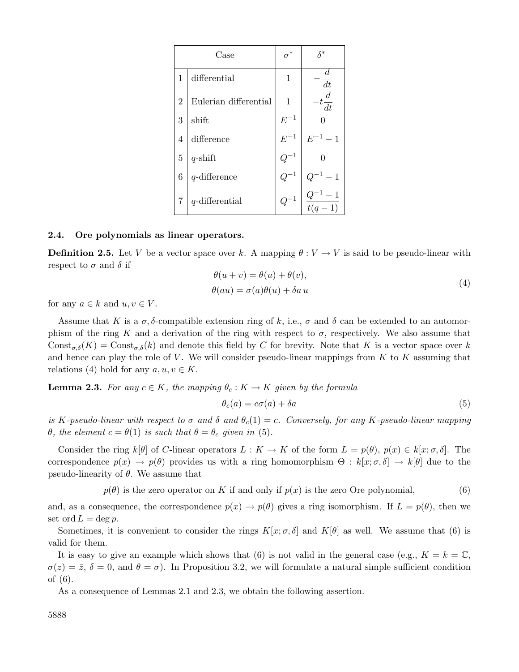|                | Case                  | $\sigma^*$ | $\delta^*$                |
|----------------|-----------------------|------------|---------------------------|
| $\mathbf{1}$   | differential          | 1          | dt                        |
| $\overline{2}$ | Eulerian differential | 1          | $-t\frac{d}{dt}$          |
| 3              | shift                 | $E^{-1}$   |                           |
| $\overline{4}$ | difference            | $E^{-1}$   | $E^{-1} - 1$              |
| $\overline{5}$ | $q$ -shift            |            |                           |
| 6              | $q$ -difference       |            |                           |
|                | $q$ -differential     |            | $\frac{Q^{-1}-1}{t(q-1)}$ |

#### **2.4. Ore polynomials as linear operators.**

**Definition 2.5.** Let V be a vector space over k. A mapping  $\theta: V \to V$  is said to be pseudo-linear with respect to  $\sigma$  and  $\delta$  if

$$
\theta(u+v) = \theta(u) + \theta(v), \n\theta(au) = \sigma(a)\theta(u) + \delta a u
$$
\n(4)

for any  $a \in k$  and  $u, v \in V$ .

Assume that K is a  $\sigma$ ,  $\delta$ -compatible extension ring of k, i.e.,  $\sigma$  and  $\delta$  can be extended to an automorphism of the ring K and a derivation of the ring with respect to  $\sigma$ , respectively. We also assume that  $\text{Const}_{\sigma,\delta}(K) = \text{Const}_{\sigma,\delta}(k)$  and denote this field by C for brevity. Note that K is a vector space over k and hence can play the role of  $V$ . We will consider pseudo-linear mappings from  $K$  to  $K$  assuming that relations (4) hold for any  $a, u, v \in K$ .

## **Lemma 2.3.** *For any*  $c \in K$ *, the mapping*  $\theta_c : K \to K$  *given by the formula*

$$
\theta_c(a) = c\sigma(a) + \delta a \tag{5}
$$

*is* K-pseudo-linear with respect to  $\sigma$  and  $\delta$  and  $\theta_c(1) = c$ . Conversely, for any K-pseudo-linear mapping  $\theta$ *, the element*  $c = \theta(1)$  *is such that*  $\theta = \theta_c$  *given in* (5).

Consider the ring k[ $\theta$ ] of C-linear operators  $L : K \to K$  of the form  $L = p(\theta)$ ,  $p(x) \in k[x; \sigma, \delta]$ . The correspondence  $p(x) \to p(\theta)$  provides us with a ring homomorphism  $\Theta : k[x; \sigma, \delta] \to k[\theta]$  due to the pseudo-linearity of  $\theta$ . We assume that

$$
p(\theta)
$$
 is the zero operator on K if and only if  $p(x)$  is the zero Ore polynomial, (6)

and, as a consequence, the correspondence  $p(x) \to p(\theta)$  gives a ring isomorphism. If  $L = p(\theta)$ , then we set ord  $L = \deg p$ .

Sometimes, it is convenient to consider the rings  $K[x; \sigma, \delta]$  and  $K[\theta]$  as well. We assume that (6) is valid for them.

It is easy to give an example which shows that (6) is not valid in the general case (e.g.,  $K = k = \mathbb{C}$ ,  $\sigma(z)=\overline{z}, \delta=0$ , and  $\theta=\sigma$ ). In Proposition 3.2, we will formulate a natural simple sufficient condition of (6).

As a consequence of Lemmas 2.1 and 2.3, we obtain the following assertion.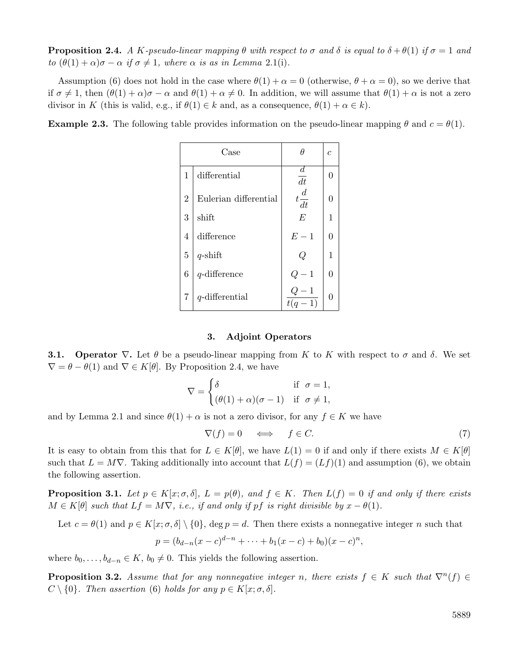**Proposition 2.4.** *A* K-pseudo-linear mapping  $\theta$  with respect to  $\sigma$  and  $\delta$  is equal to  $\delta + \theta(1)$  if  $\sigma = 1$  and *to*  $(\theta(1) + \alpha)\sigma - \alpha$  *if*  $\sigma \neq 1$ *, where*  $\alpha$  *is as in Lemma* 2.1(i).

Assumption (6) does not hold in the case where  $\theta(1) + \alpha = 0$  (otherwise,  $\theta + \alpha = 0$ ), so we derive that if  $\sigma \neq 1$ , then  $(\theta(1) + \alpha)\sigma - \alpha$  and  $\theta(1) + \alpha \neq 0$ . In addition, we will assume that  $\theta(1) + \alpha$  is not a zero divisor in K (this is valid, e.g., if  $\theta(1) \in k$  and, as a consequence,  $\theta(1) + \alpha \in k$ ).

**Example 2.3.** The following table provides information on the pseudo-linear mapping  $\theta$  and  $c = \theta(1)$ .

|                | $\operatorname{Case}$ |                        | C        |
|----------------|-----------------------|------------------------|----------|
| 1              | differential          | $\boldsymbol{d}$<br>dt | 0        |
| $\overline{2}$ | Eulerian differential | $t\frac{d}{dt}$        | $\Omega$ |
| 3              | shift                 | E                      | 1        |
| 4              | difference            | $E-1$                  | $\Omega$ |
| 5              | $q$ -shift            | Q                      | 1        |
| 6              | $q$ -difference       | $\mathbf{1}$           | 0        |
| 7              | $q$ -differential     | $t(q-1)$               | 0        |

## **3. Adjoint Operators**

**3.1.** Operator  $\nabla$ . Let  $\theta$  be a pseudo-linear mapping from K to K with respect to  $\sigma$  and  $\delta$ . We set  $\nabla = \theta - \theta(1)$  and  $\nabla \in K[\theta]$ . By Proposition 2.4, we have

$$
\nabla = \begin{cases} \delta & \text{if } \sigma = 1, \\ (\theta(1) + \alpha)(\sigma - 1) & \text{if } \sigma \neq 1, \end{cases}
$$

and by Lemma 2.1 and since  $\theta(1) + \alpha$  is not a zero divisor, for any  $f \in K$  we have

$$
\nabla(f) = 0 \quad \Longleftrightarrow \quad f \in C. \tag{7}
$$

It is easy to obtain from this that for  $L \in K[\theta]$ , we have  $L(1) = 0$  if and only if there exists  $M \in K[\theta]$ such that  $L = M\nabla$ . Taking additionally into account that  $L(f) = (Lf)(1)$  and assumption (6), we obtain the following assertion.

**Proposition 3.1.** *Let*  $p \in K[x; \sigma, \delta], L = p(\theta)$ *, and*  $f \in K$ *. Then*  $L(f) = 0$  *if and only if there exists*  $M \in K[\theta]$  *such that*  $Lf = M\nabla$ *, i.e., if and only if pf is right divisible by*  $x - \theta(1)$ *.* 

Let  $c = \theta(1)$  and  $p \in K[x; \sigma, \delta] \setminus \{0\}$ , deg  $p = d$ . Then there exists a nonnegative integer n such that

$$
p = (b_{d-n}(x-c)^{d-n} + \dots + b_1(x-c) + b_0)(x-c)^n,
$$

where  $b_0, \ldots, b_{d-n} \in K$ ,  $b_0 \neq 0$ . This yields the following assertion.

**Proposition 3.2.** Assume that for any nonnegative integer n, there exists  $f \in K$  such that  $\nabla^n(f) \in$  $C \setminus \{0\}$ . Then assertion (6) holds for any  $p \in K[x; \sigma, \delta]$ .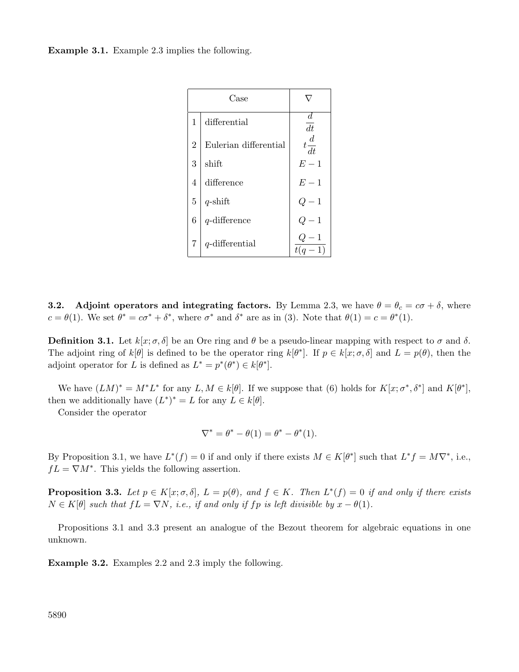**Example 3.1.** Example 2.3 implies the following.

|                | Case                  |                                     |
|----------------|-----------------------|-------------------------------------|
| 1              | differential          | $\boldsymbol{d}$<br>$\overline{dt}$ |
| $\overline{2}$ | Eulerian differential | $t\frac{d}{dt}$                     |
| 3              | shift                 | $E-1$                               |
| 4              | difference            | $E-1$                               |
| $\overline{5}$ | $q$ -shift            | $-1$<br>$Q_{\cdot}$                 |
| 6              | $q$ -difference       | 1<br>Q                              |
| 7              | $q$ -differential     | $t(q-1)$                            |

**3.2.** Adjoint operators and integrating factors. By Lemma 2.3, we have  $\theta = \theta_c = c\sigma + \delta$ , where  $c = \theta(1)$ . We set  $\theta^* = c\sigma^* + \delta^*$ , where  $\sigma^*$  and  $\delta^*$  are as in (3). Note that  $\theta(1) = c = \theta^*(1)$ .

**Definition 3.1.** Let  $k[x; \sigma, \delta]$  be an Ore ring and  $\theta$  be a pseudo-linear mapping with respect to  $\sigma$  and  $\delta$ . The adjoint ring of  $k[\theta]$  is defined to be the operator ring  $k[\theta^*]$ . If  $p \in k[x; \sigma, \delta]$  and  $L = p(\theta)$ , then the adjoint operator for L is defined as  $L^* = p^*(\theta^*) \in k[\theta^*].$ 

We have  $(LM)^* = M^*L^*$  for any  $L, M \in k[\theta]$ . If we suppose that (6) holds for  $K[x; \sigma^*, \delta^*]$  and  $K[\theta^*]$ , then we additionally have  $(L^*)^* = L$  for any  $L \in k[\theta]$ .

Consider the operator

$$
\nabla^* = \theta^* - \theta(1) = \theta^* - \theta^*(1).
$$

By Proposition 3.1, we have  $L^*(f) = 0$  if and only if there exists  $M \in K[\theta^*]$  such that  $L^* f = M\nabla^*$ , i.e.,  $fL = \nabla M^*$ . This yields the following assertion.

**Proposition 3.3.** *Let*  $p \in K[x; \sigma, \delta], L = p(\theta)$ *, and*  $f \in K$ *. Then*  $L^*(f) = 0$  *if and only if there exists*  $N \in K[\theta]$  *such that*  $fL = \nabla N$ *, i.e., if and only if fp is left divisible by*  $x - \theta(1)$ *.* 

Propositions 3.1 and 3.3 present an analogue of the Bezout theorem for algebraic equations in one unknown.

**Example 3.2.** Examples 2.2 and 2.3 imply the following.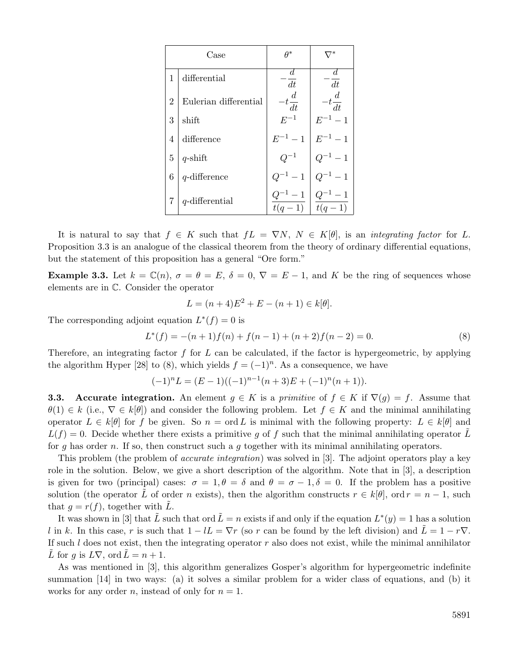|                | Case                  | A*                       |                          |
|----------------|-----------------------|--------------------------|--------------------------|
| 1              | differential          | d<br>dt                  | d<br>dt                  |
| $\overline{2}$ | Eulerian differential | $-t\frac{d}{dt}$         | $-t\frac{d}{dt}$         |
| 3              | shift                 | $E^{-1}$                 | $E^{-1} - 1$             |
| $\overline{4}$ | difference            | $E^{-1} - 1$             | $E^{-1} - 1$             |
| $\overline{5}$ | $q$ -shift            |                          | $^{-1} - 1$              |
| 6              | $q$ -difference       | $Q^{-1} - 1$             | $^{-1} - 1$              |
| 7              | $q$ -differential     | $2^{-1} - 1$<br>$t(q-1)$ | $Q^{-1} - 1$<br>$t(q-1)$ |

It is natural to say that  $f \in K$  such that  $fL = \nabla N$ ,  $N \in K[\theta]$ , is an *integrating factor* for L. Proposition 3.3 is an analogue of the classical theorem from the theory of ordinary differential equations, but the statement of this proposition has a general "Ore form."

**Example 3.3.** Let  $k = \mathbb{C}(n)$ ,  $\sigma = \theta = E$ ,  $\delta = 0$ ,  $\nabla = E - 1$ , and K be the ring of sequences whose elements are in C. Consider the operator

$$
L = (n+4)E^{2} + E - (n+1) \in k[\theta].
$$

The corresponding adjoint equation  $L^*(f) = 0$  is

$$
L^*(f) = -(n+1)f(n) + f(n-1) + (n+2)f(n-2) = 0.
$$
\n(8)

Therefore, an integrating factor  $f$  for  $L$  can be calculated, if the factor is hypergeometric, by applying the algorithm Hyper [28] to (8), which yields  $f = (-1)^n$ . As a consequence, we have

$$
(-1)^n L = (E-1)((-1)^{n-1}(n+3)E + (-1)^n(n+1)).
$$

**3.3.** Accurate integration. An element  $g \in K$  is a *primitive* of  $f \in K$  if  $\nabla(g) = f$ . Assume that  $\theta(1) \in k$  (i.e.,  $\nabla \in k[\theta]$ ) and consider the following problem. Let  $f \in K$  and the minimal annihilating operator  $L \in k[\theta]$  for f be given. So  $n = \text{ord } L$  is minimal with the following property:  $L \in k[\theta]$  and  $L(f) = 0$ . Decide whether there exists a primitive g of f such that the minimal annihilating operator L for g has order n. If so, then construct such a g together with its minimal annihilating operators.

This problem (the problem of *accurate integration*) was solved in [3]. The adjoint operators play a key role in the solution. Below, we give a short description of the algorithm. Note that in [3], a description is given for two (principal) cases:  $\sigma = 1, \theta = \delta$  and  $\theta = \sigma - 1, \delta = 0$ . If the problem has a positive solution (the operator L of order n exists), then the algorithm constructs  $r \in k[\theta]$ , ord  $r = n - 1$ , such that  $g = r(f)$ , together with L.

It was shown in [3] that  $\tilde{L}$  such that ord  $\tilde{L} = n$  exists if and only if the equation  $L^*(y) = 1$  has a solution l in k. In this case, r is such that  $1 - lL = \nabla r$  (so r can be found by the left division) and  $L = 1 - r\nabla$ . If such  $l$  does not exist, then the integrating operator  $r$  also does not exist, while the minimal annihilator L for g is  $L\nabla$ , ord  $\tilde{L} = n + 1$ .

As was mentioned in [3], this algorithm generalizes Gosper's algorithm for hypergeometric indefinite summation [14] in two ways: (a) it solves a similar problem for a wider class of equations, and (b) it works for any order *n*, instead of only for  $n = 1$ .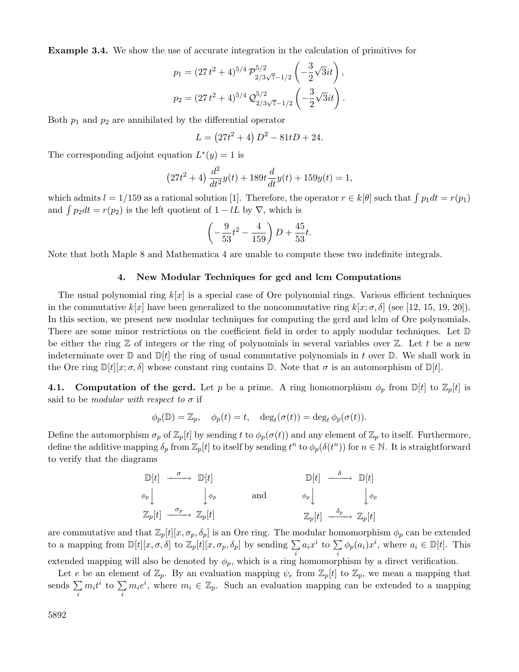**Example 3.4.** We show the use of accurate integration in the calculation of primitives for

$$
p_1 = (27t^2 + 4)^{5/4} \mathcal{P}_{2/3\sqrt{7}-1/2}^{5/2} \left(-\frac{3}{2}\sqrt{3}it\right),
$$
  

$$
p_2 = (27t^2 + 4)^{5/4} \mathcal{Q}_{2/3\sqrt{7}-1/2}^{5/2} \left(-\frac{3}{2}\sqrt{3}it\right).
$$

Both  $p_1$  and  $p_2$  are annihilated by the differential operator

$$
L = (27t^2 + 4) D^2 - 81tD + 24.
$$

The corresponding adjoint equation  $L^*(y) = 1$  is

$$
(27t2 + 4) \frac{d2}{dt2}y(t) + 189t \frac{d}{dt}y(t) + 159y(t) = 1,
$$

which admits  $l = 1/159$  as a rational solution [1]. Therefore, the operator  $r \in k[\theta]$  such that  $\int p_1 dt = r(p_1)$ and  $\int p_2 dt = r(p_2)$  is the left quotient of  $1 - lL$  by  $\nabla$ , which is

$$
\left(-\frac{9}{53}t^2 - \frac{4}{159}\right)D + \frac{45}{53}t.
$$

Note that both Maple 8 and Mathematica 4 are unable to compute these two indefinite integrals.

#### **4. New Modular Techniques for gcd and lcm Computations**

The usual polynomial ring  $k[x]$  is a special case of Ore polynomial rings. Various efficient techniques in the commutative  $k[x]$  have been generalized to the noncommutative ring  $k[x; \sigma, \delta]$  (see [12, 15, 19, 20]). In this section, we present new modular techniques for computing the gcrd and lclm of Ore polynomials. There are some minor restrictions on the coefficient field in order to apply modular techniques. Let  $\mathbb D$ be either the ring  $\mathbb Z$  of integers or the ring of polynomials in several variables over  $\mathbb Z$ . Let t be a new indeterminate over  $\mathbb{D}$  and  $\mathbb{D}[t]$  the ring of usual commutative polynomials in t over  $\mathbb{D}$ . We shall work in the Ore ring  $\mathbb{D}[t][x;\sigma,\delta]$  whose constant ring contains  $\mathbb{D}$ . Note that  $\sigma$  is an automorphism of  $\mathbb{D}[t]$ .

**4.1. Computation of the gcrd.** Let p be a prime. A ring homomorphism  $\phi_p$  from  $\mathbb{D}[t]$  to  $\mathbb{Z}_p[t]$  is said to be *modular with respect to*  $\sigma$  if

$$
\phi_p(\mathbb{D}) = \mathbb{Z}_p, \quad \phi_p(t) = t, \quad \deg_t(\sigma(t)) = \deg_t \phi_p(\sigma(t)).
$$

Define the automorphism  $\sigma_p$  of  $\mathbb{Z}_p[t]$  by sending t to  $\phi_p(\sigma(t))$  and any element of  $\mathbb{Z}_p$  to itself. Furthermore, define the additive mapping  $\delta_p$  from  $\mathbb{Z}_p[t]$  to itself by sending  $t^n$  to  $\phi_p(\delta(t^n))$  for  $n \in \mathbb{N}$ . It is straightforward to verify that the diagrams

$$
\begin{array}{ccc}\n\mathbb{D}[t] & \xrightarrow{\sigma} & \mathbb{D}[t] & \longrightarrow & \mathbb{D}[t] & \xrightarrow{\delta} & \mathbb{D}[t] \\
\phi_p \downarrow & & \downarrow{\phi_p} & \text{and} & & \phi_p \downarrow & & \downarrow{\phi_p} \\
\mathbb{Z}_p[t] & \xrightarrow{\sigma_p} & \mathbb{Z}_p[t] & & \mathbb{Z}_p[t] & \xrightarrow{\delta_p} & \mathbb{Z}_p[t]\n\end{array}
$$

are commutative and that  $\mathbb{Z}_p[t][x,\sigma_p,\delta_p]$  is an Ore ring. The modular homomorphism  $\phi_p$  can be extended to a mapping from  $\mathbb{D}[t][x,\sigma,\delta]$  to  $\mathbb{Z}_p[t][x,\sigma_p,\delta_p]$  by sending  $\sum a_i x^i$  to  $\sum \phi_p(a_i)x^i$ , where  $a_i \in \mathbb{D}[t]$ . This extended mapping will also be denoted by  $\phi_p$ , which is a ring homomorphism by a direct verification.

Let e be an element of  $\mathbb{Z}_p$ . By an evaluation mapping  $\psi_e$  from  $\mathbb{Z}_p[t]$  to  $\mathbb{Z}_p$ , we mean a mapping that sends  $\sum$ i  $m_i t^i$  to  $\sum$ i  $m_i e^i$ , where  $m_i \in \mathbb{Z}_p$ . Such an evaluation mapping can be extended to a mapping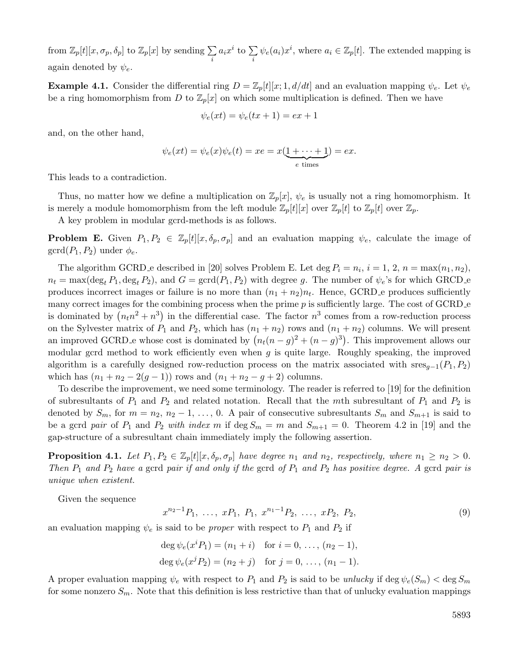from  $\mathbb{Z}_p[t][x, \sigma_p, \delta_p]$  to  $\mathbb{Z}_p[x]$  by sending  $\sum$ i  $a_ix^i$  to  $\sum$ i  $\psi_e(a_i)x^i$ , where  $a_i \in \mathbb{Z}_p[t]$ . The extended mapping is again denoted by  $\psi_e$ .

**Example 4.1.** Consider the differential ring  $D = \mathbb{Z}_p[t][x; 1, d/dt]$  and an evaluation mapping  $\psi_e$ . Let  $\psi_e$ be a ring homomorphism from D to  $\mathbb{Z}_p[x]$  on which some multiplication is defined. Then we have

$$
\psi_e(xt) = \psi_e(tx+1) = ex+1
$$

and, on the other hand,

$$
\psi_e(xt) = \psi_e(x)\psi_e(t) = xe = x(\underbrace{1 + \dots + 1}_{e \text{ times}}) = ex.
$$

This leads to a contradiction.

Thus, no matter how we define a multiplication on  $\mathbb{Z}_p[x]$ ,  $\psi_e$  is usually not a ring homomorphism. It is merely a module homomorphism from the left module  $\mathbb{Z}_p[t][x]$  over  $\mathbb{Z}_p[t]$  to  $\mathbb{Z}_p[t]$  over  $\mathbb{Z}_p$ .

A key problem in modular gcrd-methods is as follows.

**Problem E.** Given  $P_1, P_2 \in \mathbb{Z}_p[t][x, \delta_p, \sigma_p]$  and an evaluation mapping  $\psi_e$ , calculate the image of  $\gcd(P_1, P_2)$  under  $\phi_e$ .

The algorithm GCRD e described in [20] solves Problem E. Let deg  $P_i = n_i$ ,  $i = 1, 2, n = max(n_1, n_2)$ ,  $n_t = \max(\deg_t P_1, \deg_t P_2)$ , and  $G = \gcd(P_1, P_2)$  with degree g. The number of  $\psi_e$ 's for which GRCD e produces incorrect images or failure is no more than  $(n_1 + n_2)n_t$ . Hence, GCRD e produces sufficiently many correct images for the combining process when the prime  $p$  is sufficiently large. The cost of GCRD  $\epsilon$ is dominated by  $(n_t n^2 + n^3)$  in the differential case. The factor  $n^3$  comes from a row-reduction process on the Sylvester matrix of  $P_1$  and  $P_2$ , which has  $(n_1 + n_2)$  rows and  $(n_1 + n_2)$  columns. We will present an improved GCRD e whose cost is dominated by  $(n_t(n-g)^2 + (n-g)^3)$ . This improvement allows our modular gcrd method to work efficiently even when  $g$  is quite large. Roughly speaking, the improved algorithm is a carefully designed row-reduction process on the matrix associated with  $sres_{q-1}(P_1, P_2)$ which has  $(n_1 + n_2 - 2(g - 1))$  rows and  $(n_1 + n_2 - g + 2)$  columns.

To describe the improvement, we need some terminology. The reader is referred to [19] for the definition of subresultants of  $P_1$  and  $P_2$  and related notation. Recall that the mth subresultant of  $P_1$  and  $P_2$  is denoted by  $S_m$ , for  $m = n_2, n_2 - 1, \ldots, 0$ . A pair of consecutive subresultants  $S_m$  and  $S_{m+1}$  is said to be a gcrd *pair* of  $P_1$  and  $P_2$  *with index* m if deg  $S_m = m$  and  $S_{m+1} = 0$ . Theorem 4.2 in [19] and the gap-structure of a subresultant chain immediately imply the following assertion.

**Proposition 4.1.** *Let*  $P_1, P_2 \in \mathbb{Z}_p[t][x, \delta_p, \sigma_p]$  *have degree*  $n_1$  *and*  $n_2$ *, respectively, where*  $n_1 \geq n_2 > 0$ *. Then* P<sup>1</sup> *and* P<sup>2</sup> *have a* gcrd *pair if and only if the* gcrd *of* P<sup>1</sup> *and* P<sup>2</sup> *has positive degree. A* gcrd *pair is unique when existent.*

Given the sequence

$$
x^{n_2-1}P_1, \ldots, xP_1, P_1, x^{n_1-1}P_2, \ldots, xP_2, P_2,
$$
\n
$$
(9)
$$

an evaluation mapping  $\psi_e$  is said to be *proper* with respect to  $P_1$  and  $P_2$  if

$$
\deg \psi_e(x^i P_1) = (n_1 + i) \text{ for } i = 0, ..., (n_2 - 1),
$$
  

$$
\deg \psi_e(x^j P_2) = (n_2 + j) \text{ for } j = 0, ..., (n_1 - 1).
$$

A proper evaluation mapping  $\psi_e$  with respect to  $P_1$  and  $P_2$  is said to be *unlucky* if deg  $\psi_e(S_m) < \deg S_m$ for some nonzero  $S_m$ . Note that this definition is less restrictive than that of unlucky evaluation mappings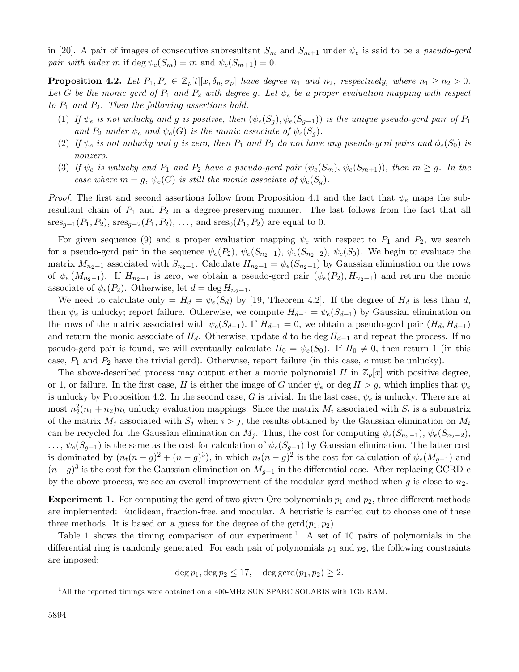in [20]. A pair of images of consecutive subresultant  $S_m$  and  $S_{m+1}$  under  $\psi_e$  is said to be a *pseudo-gcrd pair with index* m if deg  $\psi_e(S_m) = m$  and  $\psi_e(S_{m+1}) = 0$ .

**Proposition 4.2.** Let  $P_1, P_2 \in \mathbb{Z}_p[t][x, \delta_p, \sigma_p]$  have degree  $n_1$  and  $n_2$ , respectively, where  $n_1 \geq n_2 > 0$ . Let G be the monic gcrd of  $P_1$  and  $P_2$  with degree g. Let  $\psi_e$  be a proper evaluation mapping with respect *to* P<sup>1</sup> *and* P2*. Then the following assertions hold.*

- (1) *If*  $\psi_e$  *is not unlucky and g is positive, then*  $(\psi_e(S_g), \psi_e(S_{g-1}))$  *is the unique pseudo-gcrd pair of*  $P_1$ and  $P_2$  *under*  $\psi_e$  *and*  $\psi_e(G)$  *is the monic associate of*  $\psi_e(S_g)$ *.*
- (2) If  $\psi_e$  *is not unlucky and g is zero, then*  $P_1$  *and*  $P_2$  *do not have any pseudo-gcrd pairs and*  $\phi_e(S_0)$  *is nonzero.*
- (3) If  $\psi_e$  *is unlucky and*  $P_1$  *and*  $P_2$  *have a pseudo-gcrd pair*  $(\psi_e(S_m), \psi_e(S_{m+1}))$ *, then*  $m \geq g$ *. In the case where*  $m = g$ ,  $\psi_e(G)$  *is still the monic associate of*  $\psi_e(S_q)$ *.*

*Proof.* The first and second assertions follow from Proposition 4.1 and the fact that  $\psi_e$  maps the subresultant chain of  $P_1$  and  $P_2$  in a degree-preserving manner. The last follows from the fact that all  $sres_{q-1}(P_1, P_2)$ ,  $sres_{q-2}(P_1, P_2)$ , ..., and  $sres_0(P_1, P_2)$  are equal to 0.  $\Box$ 

For given sequence (9) and a proper evaluation mapping  $\psi_e$  with respect to  $P_1$  and  $P_2$ , we search for a pseudo-gcrd pair in the sequence  $\psi_e(P_2)$ ,  $\psi_e(S_{n_2-1})$ ,  $\psi_e(S_{n_2-2})$ ,  $\psi_e(S_0)$ . We begin to evaluate the matrix  $M_{n_2-1}$  associated with  $S_{n_2-1}$ . Calculate  $H_{n_2-1} = \psi_e(S_{n_2-1})$  by Gaussian elimination on the rows of  $\psi_e(M_{n_2-1})$ . If  $H_{n_2-1}$  is zero, we obtain a pseudo-gcrd pair  $(\psi_e(P_2), H_{n_2-1})$  and return the monic associate of  $\psi_e(P_2)$ . Otherwise, let  $d = \deg H_{n_2-1}$ .

We need to calculate only =  $H_d = \psi_e(S_d)$  by [19, Theorem 4.2]. If the degree of  $H_d$  is less than d, then  $\psi_e$  is unlucky; report failure. Otherwise, we compute  $H_{d-1} = \psi_e(S_{d-1})$  by Gaussian elimination on the rows of the matrix associated with  $\psi_e(S_{d-1})$ . If  $H_{d-1} = 0$ , we obtain a pseudo-gcrd pair  $(H_d, H_{d-1})$ and return the monic associate of  $H_d$ . Otherwise, update d to be deg  $H_{d-1}$  and repeat the process. If no pseudo-gcrd pair is found, we will eventually calculate  $H_0 = \psi_e(S_0)$ . If  $H_0 \neq 0$ , then return 1 (in this case,  $P_1$  and  $P_2$  have the trivial gcrd). Otherwise, report failure (in this case, e must be unlucky).

The above-described process may output either a monic polynomial H in  $\mathbb{Z}_p[x]$  with positive degree, or 1, or failure. In the first case, H is either the image of G under  $\psi_e$  or deg  $H>g$ , which implies that  $\psi_e$ is unlucky by Proposition 4.2. In the second case, G is trivial. In the last case,  $\psi_e$  is unlucky. There are at most  $n_2^2(n_1 + n_2)n_t$  unlucky evaluation mappings. Since the matrix  $M_i$  associated with  $S_i$  is a submatrix of the matrix  $M_i$  associated with  $S_i$  when  $i>j$ , the results obtained by the Gaussian elimination on  $M_i$ can be recycled for the Gaussian elimination on  $M_j$ . Thus, the cost for computing  $\psi_e(S_{n_2-1}), \psi_e(S_{n_2-2}),$  $\ldots, \psi_e(S_{q-1})$  is the same as the cost for calculation of  $\psi_e(S_{q-1})$  by Gaussian elimination. The latter cost is dominated by  $(n_t(n-g)^2 + (n-g)^3)$ , in which  $n_t(n-g)^2$  is the cost for calculation of  $\psi_e(M_{q-1})$  and  $(n-g)^3$  is the cost for the Gaussian elimination on  $M_{q-1}$  in the differential case. After replacing GCRD e by the above process, we see an overall improvement of the modular gcrd method when q is close to  $n<sub>2</sub>$ .

**Experiment 1.** For computing the gcrd of two given Ore polynomials  $p_1$  and  $p_2$ , three different methods are implemented: Euclidean, fraction-free, and modular. A heuristic is carried out to choose one of these three methods. It is based on a guess for the degree of the  $\gcd(p_1, p_2)$ .

Table 1 shows the timing comparison of our experiment.<sup>1</sup> A set of 10 pairs of polynomials in the differential ring is randomly generated. For each pair of polynomials  $p_1$  and  $p_2$ , the following constraints are imposed:

 $\deg p_1, \deg p_2 \leq 17, \deg \gcd(p_1, p_2) \geq 2.$ 

<sup>&</sup>lt;sup>1</sup>All the reported timings were obtained on a 400-MHz SUN SPARC SOLARIS with 1Gb RAM.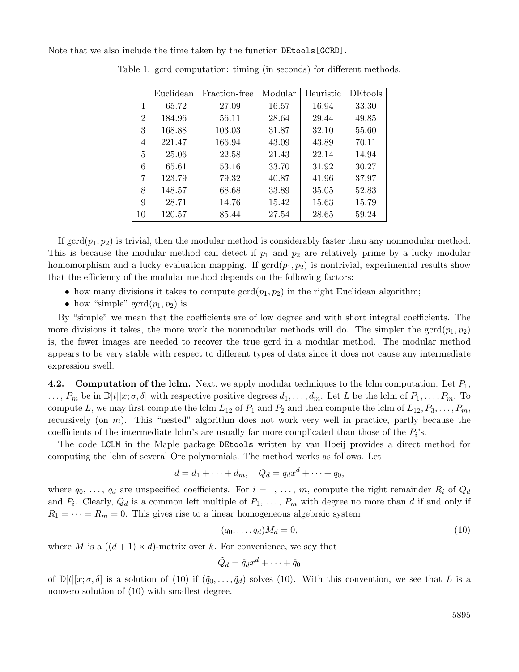Note that we also include the time taken by the function DEtools[GCRD].

|                | Euclidean | Fraction-free | Modular | Heuristic | <b>DEtools</b> |
|----------------|-----------|---------------|---------|-----------|----------------|
| 1              | 65.72     | 27.09         | 16.57   | 16.94     | 33.30          |
| $\overline{2}$ | 184.96    | 56.11         | 28.64   | 29.44     | 49.85          |
| 3              | 168.88    | 103.03        | 31.87   | 32.10     | 55.60          |
| 4              | 221.47    | 166.94        | 43.09   | 43.89     | 70.11          |
| 5              | 25.06     | 22.58         | 21.43   | 22.14     | 14.94          |
| 6              | 65.61     | 53.16         | 33.70   | 31.92     | 30.27          |
| 7              | 123.79    | 79.32         | 40.87   | 41.96     | 37.97          |
| 8              | 148.57    | 68.68         | 33.89   | 35.05     | 52.83          |
| 9              | 28.71     | 14.76         | 15.42   | 15.63     | 15.79          |
| 10             | 120.57    | 85.44         | 27.54   | 28.65     | 59.24          |

Table 1. gcrd computation: timing (in seconds) for different methods.

If  $\gcd(p_1, p_2)$  is trivial, then the modular method is considerably faster than any nonmodular method. This is because the modular method can detect if  $p_1$  and  $p_2$  are relatively prime by a lucky modular homomorphism and a lucky evaluation mapping. If  $\gcd(p_1, p_2)$  is nontrivial, experimental results show that the efficiency of the modular method depends on the following factors:

- how many divisions it takes to compute  $\gcd(p_1, p_2)$  in the right Euclidean algorithm;
- how "simple"  $\gcd(p_1, p_2)$  is.

By "simple" we mean that the coefficients are of low degree and with short integral coefficients. The more divisions it takes, the more work the nonmodular methods will do. The simpler the  $\text{gcd}(p_1, p_2)$ is, the fewer images are needed to recover the true gcrd in a modular method. The modular method appears to be very stable with respect to different types of data since it does not cause any intermediate expression swell.

**4.2. Computation of the lclm.** Next, we apply modular techniques to the lclm computation. Let  $P_1$ ,  $\ldots, P_m$  be in  $\mathbb{D}[t][x; \sigma, \delta]$  with respective positive degrees  $d_1, \ldots, d_m$ . Let L be the lclm of  $P_1, \ldots, P_m$ . To compute L, we may first compute the lclm  $L_{12}$  of  $P_1$  and  $P_2$  and then compute the lclm of  $L_{12}, P_3, \ldots, P_m$ , recursively (on m). This "nested" algorithm does not work very well in practice, partly because the coefficients of the intermediate lclm's are usually far more complicated than those of the  $P_i$ 's.

The code LCLM in the Maple package DEtools written by van Hoeij provides a direct method for computing the lclm of several Ore polynomials. The method works as follows. Let

$$
d = d_1 + \dots + d_m, \quad Q_d = q_d x^d + \dots + q_0,
$$

where  $q_0, \ldots, q_d$  are unspecified coefficients. For  $i = 1, \ldots, m$ , compute the right remainder  $R_i$  of  $Q_d$ and  $P_i$ . Clearly,  $Q_d$  is a common left multiple of  $P_1, \ldots, P_m$  with degree no more than d if and only if  $R_1 = \cdots = R_m = 0$ . This gives rise to a linear homogeneous algebraic system

$$
(q_0, \ldots, q_d)M_d = 0,\t\t(10)
$$

where M is a  $((d+1) \times d)$ -matrix over k. For convenience, we say that

$$
\tilde{Q}_d=\tilde{q}_dx^d+\cdots+\tilde{q}_0
$$

of  $\mathbb{D}[t][x;\sigma,\delta]$  is a solution of (10) if  $(\tilde{q}_0,\ldots,\tilde{q}_d)$  solves (10). With this convention, we see that L is a nonzero solution of (10) with smallest degree.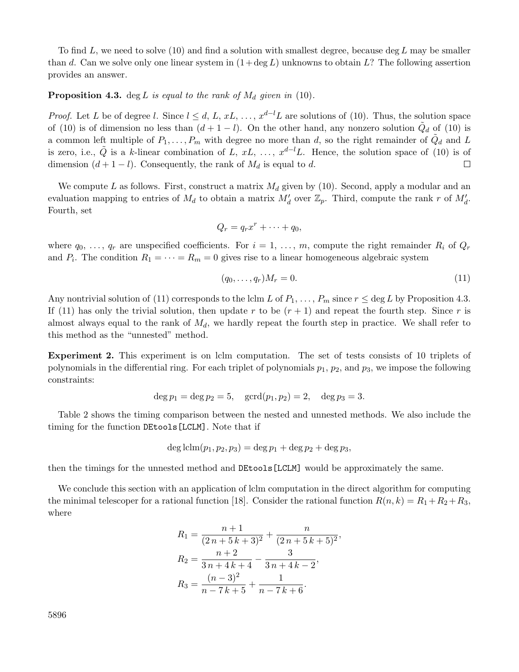To find L, we need to solve  $(10)$  and find a solution with smallest degree, because deg L may be smaller than d. Can we solve only one linear system in  $(1 + \deg L)$  unknowns to obtain L? The following assertion provides an answer.

# **Proposition 4.3.** deg L is equal to the rank of  $M_d$  given in (10).

*Proof.* Let L be of degree l. Since  $l \leq d, L, xL, \ldots, x^{d-l}L$  are solutions of (10). Thus, the solution space of (10) is of dimension no less than  $(d+1-l)$ . On the other hand, any nonzero solution  $\tilde{Q}_d$  of (10) is a common left multiple of  $P_1, \ldots, P_m$  with degree no more than d, so the right remainder of  $\ddot{Q}_d$  and L is zero, i.e.,  $\tilde{Q}$  is a k-linear combination of L, xL, ...,  $x^{d-l}L$ . Hence, the solution space of (10) is of dimension  $(d + 1 - l)$ . Consequently, the rank of  $M_d$  is equal to d.  $\Box$ 

We compute L as follows. First, construct a matrix  $M_d$  given by (10). Second, apply a modular and an evaluation mapping to entries of  $M_d$  to obtain a matrix  $M'_d$  over  $\mathbb{Z}_p$ . Third, compute the rank r of  $M'_d$ . Fourth, set

$$
Q_r = q_r x^r + \dots + q_0,
$$

where  $q_0, \ldots, q_r$  are unspecified coefficients. For  $i = 1, \ldots, m$ , compute the right remainder  $R_i$  of  $Q_r$ and  $P_i$ . The condition  $R_1 = \cdots = R_m = 0$  gives rise to a linear homogeneous algebraic system

$$
(q_0, \ldots, q_r)M_r = 0. \t\t(11)
$$

Any nontrivial solution of (11) corresponds to the lclm L of  $P_1, \ldots, P_m$  since  $r \leq \deg L$  by Proposition 4.3. If (11) has only the trivial solution, then update r to be  $(r + 1)$  and repeat the fourth step. Since r is almost always equal to the rank of  $M_d$ , we hardly repeat the fourth step in practice. We shall refer to this method as the "unnested" method.

**Experiment 2.** This experiment is on lclm computation. The set of tests consists of 10 triplets of polynomials in the differential ring. For each triplet of polynomials  $p_1$ ,  $p_2$ , and  $p_3$ , we impose the following constraints:

$$
deg p_1 = deg p_2 = 5
$$
,  $gcd(p_1, p_2) = 2$ ,  $deg p_3 = 3$ .

Table 2 shows the timing comparison between the nested and unnested methods. We also include the timing for the function DEtools[LCLM]. Note that if

$$
\deg \text{lclm}(p_1, p_2, p_3) = \deg p_1 + \deg p_2 + \deg p_3,
$$

then the timings for the unnested method and DEtools[LCLM] would be approximately the same.

We conclude this section with an application of lclm computation in the direct algorithm for computing the minimal telescoper for a rational function [18]. Consider the rational function  $R(n, k) = R_1 + R_2 + R_3$ , where

$$
R_1 = \frac{n+1}{(2n+5k+3)^2} + \frac{n}{(2n+5k+5)^2},
$$
  
\n
$$
R_2 = \frac{n+2}{3n+4k+4} - \frac{3}{3n+4k-2},
$$
  
\n
$$
R_3 = \frac{(n-3)^2}{n-7k+5} + \frac{1}{n-7k+6}.
$$

5896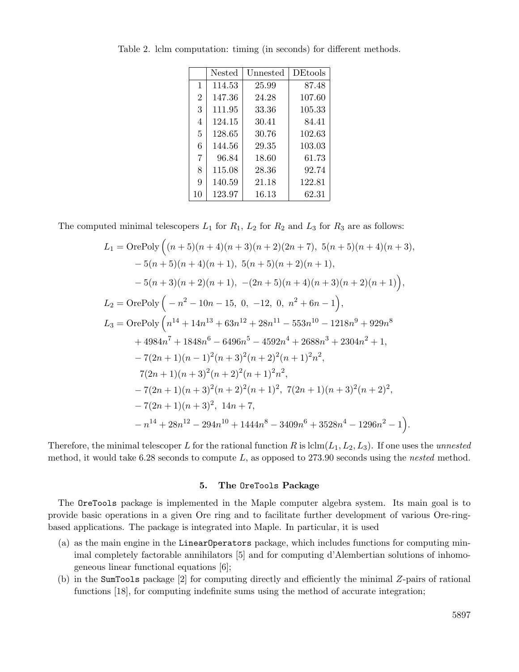|                | Nested | Unnested | <b>DEtools</b> |
|----------------|--------|----------|----------------|
| 1              | 114.53 | 25.99    | 87.48          |
| $\overline{2}$ | 147.36 | 24.28    | 107.60         |
| 3              | 111.95 | 33.36    | 105.33         |
| 4              | 124.15 | 30.41    | 84.41          |
| 5              | 128.65 | 30.76    | 102.63         |
| 6              | 144.56 | 29.35    | 103.03         |
| $\overline{7}$ | 96.84  | 18.60    | 61.73          |
| 8              | 115.08 | 28.36    | 92.74          |
| 9              | 140.59 | 21.18    | 122.81         |
| 10             | 123.97 | 16.13    | 62.31          |

Table 2. lclm computation: timing (in seconds) for different methods.

The computed minimal telescopers  $L_1$  for  $R_1$ ,  $L_2$  for  $R_2$  and  $L_3$  for  $R_3$  are as follows:

$$
L_1 = \text{OrePoly}\left((n+5)(n+4)(n+3)(n+2)(2n+7), 5(n+5)(n+4)(n+3),\n-5(n+5)(n+4)(n+1), 5(n+5)(n+2)(n+1),\n-5(n+3)(n+2)(n+1), -(2n+5)(n+4)(n+3)(n+2)(n+1)\right),\nL_2 = \text{OrePoly}\left(-n^2 - 10n - 15, 0, -12, 0, n^2 + 6n - 1\right),\nL_3 = \text{OrePoly}\left(n^{14} + 14n^{13} + 63n^{12} + 28n^{11} - 553n^{10} - 1218n^9 + 929n^8\n+ 4984n^7 + 1848n^6 - 6496n^5 - 4592n^4 + 2688n^3 + 2304n^2 + 1,\n- 7(2n+1)(n-1)^2(n+3)^2(n+2)^2(n+1)^2n^2,\n7(2n+1)(n+3)^2(n+2)^2(n+1)^2n^2,\n- 7(2n+1)(n+3)^2(n+2)^2(n+1)^2, 7(2n+1)(n+3)^2(n+2)^2,\n- 7(2n+1)(n+3)^2, 14n + 7,\n- n^{14} + 28n^{12} - 294n^{10} + 1444n^8 - 3409n^6 + 3528n^4 - 1296n^2 - 1
$$

Therefore, the minimal telescoper L for the rational function R is  $\text{lclm}(L_1, L_2, L_3)$ . If one uses the *unnested* method, it would take 6.28 seconds to compute L, as opposed to 273.90 seconds using the *nested* method.

### **5. The** OreTools **Package**

The OreTools package is implemented in the Maple computer algebra system. Its main goal is to provide basic operations in a given Ore ring and to facilitate further development of various Ore-ringbased applications. The package is integrated into Maple. In particular, it is used

- (a) as the main engine in the LinearOperators package, which includes functions for computing minimal completely factorable annihilators [5] and for computing d'Alembertian solutions of inhomogeneous linear functional equations [6];
- (b) in the SumTools package [2] for computing directly and efficiently the minimal Z-pairs of rational functions [18], for computing indefinite sums using the method of accurate integration;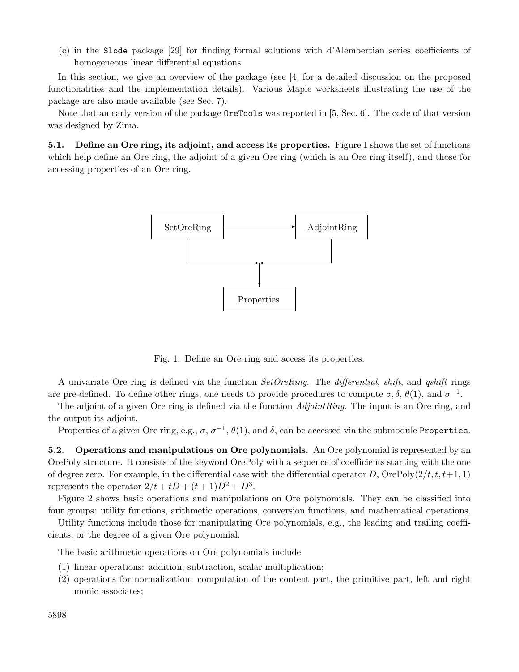(c) in the Slode package [29] for finding formal solutions with d'Alembertian series coefficients of homogeneous linear differential equations.

In this section, we give an overview of the package (see [4] for a detailed discussion on the proposed functionalities and the implementation details). Various Maple worksheets illustrating the use of the package are also made available (see Sec. 7).

Note that an early version of the package OreTools was reported in [5, Sec. 6]. The code of that version was designed by Zima.

**5.1. Define an Ore ring, its adjoint, and access its properties.** Figure 1 shows the set of functions which help define an Ore ring, the adjoint of a given Ore ring (which is an Ore ring itself), and those for accessing properties of an Ore ring.



Fig. 1. Define an Ore ring and access its properties.

A univariate Ore ring is defined via the function *SetOreRing*. The *differential*, *shift*, and *qshift* rings are pre-defined. To define other rings, one needs to provide procedures to compute  $\sigma$ ,  $\delta$ ,  $\theta(1)$ , and  $\sigma^{-1}$ .

The adjoint of a given Ore ring is defined via the function *AdjointRing*. The input is an Ore ring, and the output its adjoint.

Properties of a given Ore ring, e.g.,  $\sigma$ ,  $\sigma^{-1}$ ,  $\theta(1)$ , and  $\delta$ , can be accessed via the submodule Properties.

**5.2. Operations and manipulations on Ore polynomials.** An Ore polynomial is represented by an OrePoly structure. It consists of the keyword OrePoly with a sequence of coefficients starting with the one of degree zero. For example, in the differential case with the differential operator D, OrePoly( $2/t, t, t+1, 1$ ) represents the operator  $2/t + tD + (t+1)D^2 + D^3$ .

Figure 2 shows basic operations and manipulations on Ore polynomials. They can be classified into four groups: utility functions, arithmetic operations, conversion functions, and mathematical operations.

Utility functions include those for manipulating Ore polynomials, e.g., the leading and trailing coefficients, or the degree of a given Ore polynomial.

The basic arithmetic operations on Ore polynomials include

- (1) linear operations: addition, subtraction, scalar multiplication;
- (2) operations for normalization: computation of the content part, the primitive part, left and right monic associates;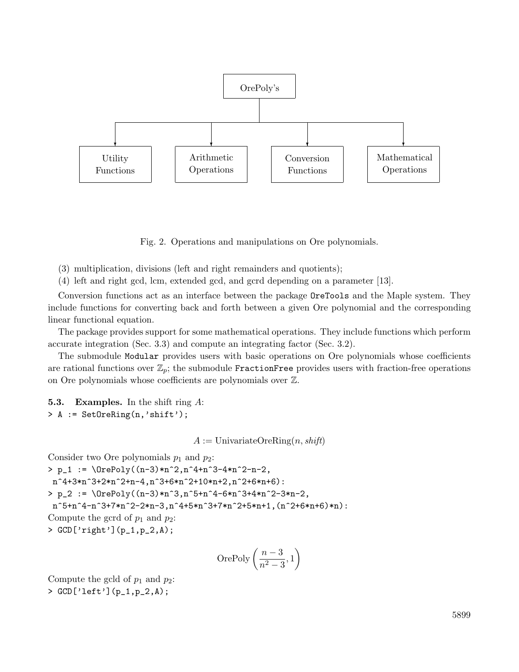

Fig. 2. Operations and manipulations on Ore polynomials.

- (3) multiplication, divisions (left and right remainders and quotients);
- (4) left and right gcd, lcm, extended gcd, and gcrd depending on a parameter [13].

Conversion functions act as an interface between the package OreTools and the Maple system. They include functions for converting back and forth between a given Ore polynomial and the corresponding linear functional equation.

The package provides support for some mathematical operations. They include functions which perform accurate integration (Sec. 3.3) and compute an integrating factor (Sec. 3.2).

The submodule Modular provides users with basic operations on Ore polynomials whose coefficients are rational functions over  $\mathbb{Z}_p$ ; the submodule FractionFree provides users with fraction-free operations on Ore polynomials whose coefficients are polynomials over Z.

**5.3. Examples.** In the shift ring A: > A := SetOreRing(n,'shift');

 $A :=$  UnivariateOreRing $(n, shift)$ 

Consider two Ore polynomials  $p_1$  and  $p_2$ :  $> p_1 := \langle 0rePoly((n-3)*n^2,n^4+n^3-4*n^2-n-2,$ n^4+3\*n^3+2\*n^2+n-4,n^3+6\*n^2+10\*n+2,n^2+6\*n+6): >  $p_2 := \Der{(-n-3)*n^3,n^5+n^4-6*n^3+4*n^2-3*n-2)}$  $n^5+n^4-n^3+7*n^2-2*n-3,n^4+5*n^3+7*n^2+5*n+1,(n^2+6*n+6)*n):$ Compute the gcrd of  $p_1$  and  $p_2$ : > GCD['right'](p\_1,p\_2,A);

$$
\text{OrePoly}\left(\frac{n-3}{n^2-3}, 1\right)
$$

Compute the gcld of  $p_1$  and  $p_2$ : > GCD['left'](p\_1,p\_2,A);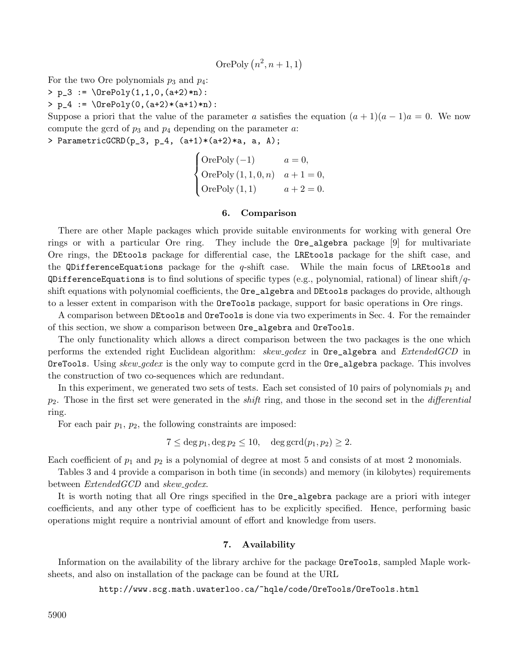OrePoly 
$$
(n^2, n+1, 1)
$$

For the two Ore polynomials  $p_3$  and  $p_4$ :

>  $p_3 := \text{OverPoly}(1,1,0,(a+2)*n)$ :

>  $p_4 := \Der{0, (a+2)*(a+1)*n}$ :

Suppose a priori that the value of the parameter a satisfies the equation  $(a + 1)(a - 1)a = 0$ . We now compute the gcrd of  $p_3$  and  $p_4$  depending on the parameter  $a$ .

> ParametricGCRD $(p_3, p_4, (a+1)*(a+2)*a, a, A)$ 

 $\sqrt{ }$  $\int$  $\overline{\mathcal{L}}$ OrePoly  $(-1)$   $a = 0$ , OrePoly  $(1, 1, 0, n)$   $a + 1 = 0$ , OrePoly  $(1, 1)$   $a + 2 = 0.$ 

#### **6. Comparison**

There are other Maple packages which provide suitable environments for working with general Ore rings or with a particular Ore ring. They include the Ore\_algebra package [9] for multivariate Ore rings, the DEtools package for differential case, the LREtools package for the shift case, and the QDifferenceEquations package for the  $q$ -shift case. While the main focus of LREtools and QDifferenceEquations is to find solutions of specific types (e.g., polynomial, rational) of linear shift/ $q$ shift equations with polynomial coefficients, the Ore\_algebra and DEtools packages do provide, although to a lesser extent in comparison with the OreTools package, support for basic operations in Ore rings.

A comparison between DEtools and OreTools is done via two experiments in Sec. 4. For the remainder of this section, we show a comparison between Ore\_algebra and OreTools.

The only functionality which allows a direct comparison between the two packages is the one which performs the extended right Euclidean algorithm: *skew gcdex* in Ore\_algebra and *ExtendedGCD* in OreTools. Using *skew gcdex* is the only way to compute gcrd in the Ore\_algebra package. This involves the construction of two co-sequences which are redundant.

In this experiment, we generated two sets of tests. Each set consisted of 10 pairs of polynomials  $p_1$  and p2. Those in the first set were generated in the *shift* ring, and those in the second set in the *differential* ring.

For each pair  $p_1$ ,  $p_2$ , the following constraints are imposed:

 $7 \leq \deg p_1, \deg p_2 \leq 10, \deg \gcd(p_1, p_2) \geq 2.$ 

Each coefficient of  $p_1$  and  $p_2$  is a polynomial of degree at most 5 and consists of at most 2 monomials.

Tables 3 and 4 provide a comparison in both time (in seconds) and memory (in kilobytes) requirements between *ExtendedGCD* and *skew gcdex*.

It is worth noting that all Ore rings specified in the Ore\_algebra package are a priori with integer coefficients, and any other type of coefficient has to be explicitly specified. Hence, performing basic operations might require a nontrivial amount of effort and knowledge from users.

# **7. Availability**

Information on the availability of the library archive for the package OreTools, sampled Maple worksheets, and also on installation of the package can be found at the URL

http://www.scg.math.uwaterloo.ca/~hqle/code/OreTools/OreTools.html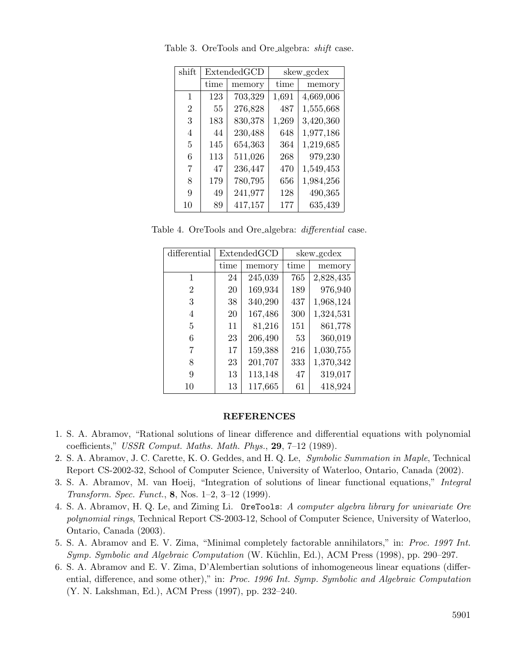| shift          | ExtendedGCD |         | skew_gcdex |           |
|----------------|-------------|---------|------------|-----------|
|                | time        | memory  | time       | memory    |
| 1              | 123         | 703,329 | 1,691      | 4,669,006 |
| $\overline{2}$ | 55          | 276,828 | 487        | 1,555,668 |
| 3              | 183         | 830,378 | 1,269      | 3,420,360 |
| 4              | 44          | 230,488 | 648        | 1,977,186 |
| 5              | 145         | 654,363 | 364        | 1,219,685 |
| 6              | 113         | 511,026 | 268        | 979,230   |
| 7              | 47          | 236,447 | 470        | 1,549,453 |
| 8              | 179         | 780,795 | 656        | 1,984,256 |
| 9              | 49          | 241,977 | 128        | 490,365   |
| 10             | 89          | 417,157 | 177        | 635,439   |

Table 3. OreTools and Ore algebra: *shift* case.

Table 4. OreTools and Ore algebra: *differential* case.

| differential   | Extended GCD |         |      | skew_gcdex |
|----------------|--------------|---------|------|------------|
|                | time         | memory  | time | memory     |
| 1              | 24           | 245,039 | 765  | 2,828,435  |
| $\overline{2}$ | 20           | 169,934 | 189  | 976,940    |
| 3              | 38           | 340,290 | 437  | 1,968,124  |
| 4              | 20           | 167,486 | 300  | 1,324,531  |
| 5              | 11           | 81,216  | 151  | 861,778    |
| 6              | 23           | 206,490 | 53   | 360,019    |
|                | 17           | 159,388 | 216  | 1,030,755  |
| 8              | 23           | 201,707 | 333  | 1,370,342  |
| 9              | 13           | 113,148 | 47   | 319,017    |
| 10             | 13           | 117,665 | 61   | 418,924    |

## **REFERENCES**

- 1. S. A. Abramov, "Rational solutions of linear difference and differential equations with polynomial coefficients," *USSR Comput. Maths. Math. Phys.*, **29**, 7–12 (1989).
- 2. S. A. Abramov, J. C. Carette, K. O. Geddes, and H. Q. Le, *Symbolic Summation in Maple*, Technical Report CS-2002-32, School of Computer Science, University of Waterloo, Ontario, Canada (2002).
- 3. S. A. Abramov, M. van Hoeij, "Integration of solutions of linear functional equations," *Integral Transform. Spec. Funct.*, **8**, Nos. 1–2, 3–12 (1999).
- 4. S. A. Abramov, H. Q. Le, and Ziming Li. OreTools: *A computer algebra library for univariate Ore polynomial rings*, Technical Report CS-2003-12, School of Computer Science, University of Waterloo, Ontario, Canada (2003).
- 5. S. A. Abramov and E. V. Zima, "Minimal completely factorable annihilators," in: *Proc. 1997 Int. Symp. Symbolic and Algebraic Computation* (W. Küchlin, Ed.), ACM Press (1998), pp. 290–297.
- 6. S. A. Abramov and E. V. Zima, D'Alembertian solutions of inhomogeneous linear equations (differential, difference, and some other)," in: *Proc. 1996 Int. Symp. Symbolic and Algebraic Computation* (Y. N. Lakshman, Ed.), ACM Press (1997), pp. 232–240.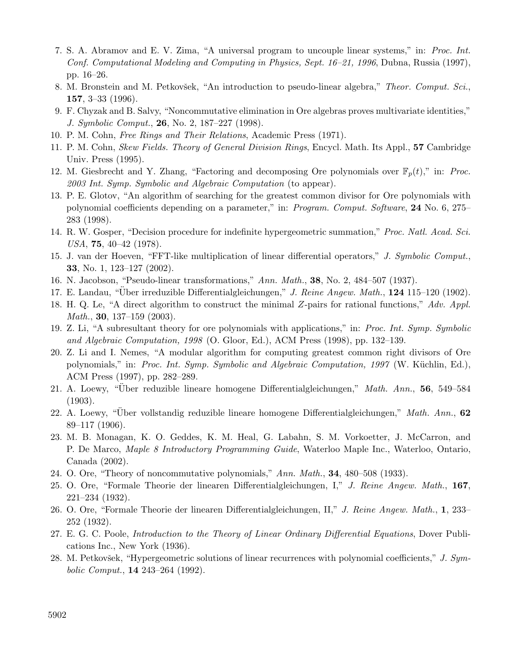- 7. S. A. Abramov and E. V. Zima, "A universal program to uncouple linear systems," in: *Proc. Int. Conf. Computational Modeling and Computing in Physics, Sept. 16–21, 1996*, Dubna, Russia (1997), pp. 16–26.
- 8. M. Bronstein and M. Petkovšek, "An introduction to pseudo-linear algebra," *Theor. Comput. Sci.*, **157**, 3–33 (1996).
- 9. F. Chyzak and B. Salvy, "Noncommutative elimination in Ore algebras proves multivariate identities," *J. Symbolic Comput.*, **26**, No. 2, 187–227 (1998).
- 10. P. M. Cohn, *Free Rings and Their Relations*, Academic Press (1971).
- 11. P. M. Cohn, *Skew Fields. Theory of General Division Rings*, Encycl. Math. Its Appl., **57** Cambridge Univ. Press (1995).
- 12. M. Giesbrecht and Y. Zhang, "Factoring and decomposing Ore polynomials over  $\mathbb{F}_p(t)$ ," in: *Proc. 2003 Int. Symp. Symbolic and Algebraic Computation* (to appear).
- 13. P. E. Glotov, "An algorithm of searching for the greatest common divisor for Ore polynomials with polynomial coefficients depending on a parameter," in: *Program. Comput. Software*, **24** No. 6, 275– 283 (1998).
- 14. R. W. Gosper, "Decision procedure for indefinite hypergeometric summation," *Proc. Natl. Acad. Sci. USA*, **75**, 40–42 (1978).
- 15. J. van der Hoeven, "FFT-like multiplication of linear differential operators," *J. Symbolic Comput.*, **33**, No. 1, 123–127 (2002).
- 16. N. Jacobson, "Pseudo-linear transformations," *Ann. Math.*, **38**, No. 2, 484–507 (1937).
- 17. E. Landau, "Über irreduzible Differentialgleichungen," J. Reine Angew. Math., 124 115–120 (1902).
- 18. H. Q. Le, "A direct algorithm to construct the minimal Z-pairs for rational functions," *Adv. Appl. Math.*, **30**, 137–159 (2003).
- 19. Z. Li, "A subresultant theory for ore polynomials with applications," in: *Proc. Int. Symp. Symbolic and Algebraic Computation, 1998* (O. Gloor, Ed.), ACM Press (1998), pp. 132–139.
- 20. Z. Li and I. Nemes, "A modular algorithm for computing greatest common right divisors of Ore polynomials," in: *Proc. Int. Symp. Symbolic and Algebraic Computation, 1997* (W. Küchlin, Ed.), ACM Press (1997), pp. 282–289.
- 21. A. Loewy, "Uber reduzible lineare homogene Differentialgleichungen," ¨ *Math. Ann.*, **56**, 549–584 (1903).
- 22. A. Loewy, "Über vollstandig reduzible lineare homogene Differentialgleichungen," Math. Ann., 62 89–117 (1906).
- 23. M. B. Monagan, K. O. Geddes, K. M. Heal, G. Labahn, S. M. Vorkoetter, J. McCarron, and P. De Marco, *Maple 8 Introductory Programming Guide*, Waterloo Maple Inc., Waterloo, Ontario, Canada (2002).
- 24. O. Ore, "Theory of noncommutative polynomials," *Ann. Math.*, **34**, 480–508 (1933).
- 25. O. Ore, "Formale Theorie der linearen Differentialgleichungen, I," *J. Reine Angew. Math.*, **167**, 221–234 (1932).
- 26. O. Ore, "Formale Theorie der linearen Differentialgleichungen, II," *J. Reine Angew. Math.*, **1**, 233– 252 (1932).
- 27. E. G. C. Poole, *Introduction to the Theory of Linear Ordinary Differential Equations*, Dover Publications Inc., New York (1936).
- 28. M. Petkovšek, "Hypergeometric solutions of linear recurrences with polynomial coefficients," *J. Symbolic Comput.*, **14** 243–264 (1992).